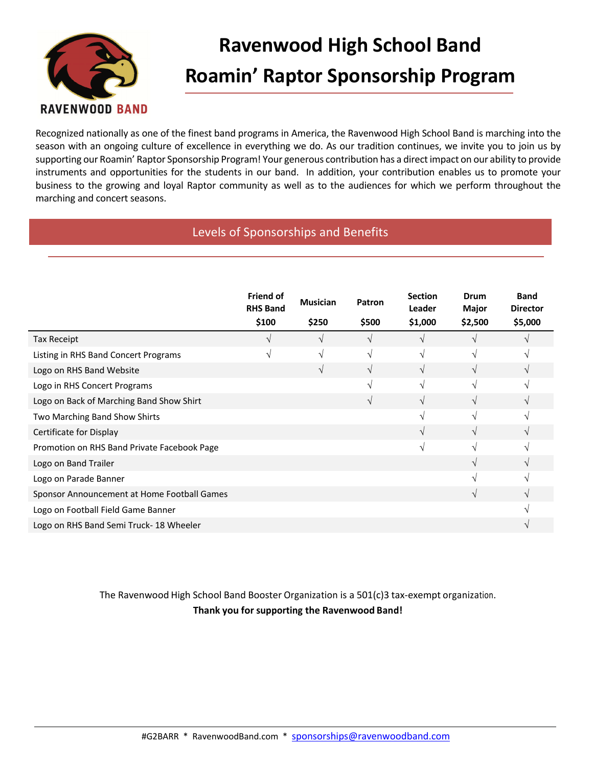

## **Ravenwood High School Band Roamin' Raptor Sponsorship Program**

Recognized nationally as one of the finest band programs in America, the Ravenwood High School Band is marching into the season with an ongoing culture of excellence in everything we do. As our tradition continues, we invite you to join us by supporting our Roamin' Raptor Sponsorship Program! Your generous contribution has a direct impact on our ability to provide instruments and opportunities for the students in our band. In addition, your contribution enables us to promote your business to the growing and loyal Raptor community as well as to the audiences for which we perform throughout the marching and concert seasons.

#### **Option B: Program Sponsorships and Benefits** Levels of Sponsorships and Benefits

|                                             | <b>Friend of</b><br><b>RHS Band</b> | <b>Musician</b> | Patron        | <b>Section</b><br>Leader | Drum<br>Major | <b>Band</b><br><b>Director</b> |
|---------------------------------------------|-------------------------------------|-----------------|---------------|--------------------------|---------------|--------------------------------|
|                                             | \$100                               | \$250           | \$500         | \$1,000                  | \$2,500       | \$5,000                        |
| <b>Tax Receipt</b>                          |                                     | N               | $\mathcal{N}$ |                          |               |                                |
| Listing in RHS Band Concert Programs        | V                                   | $\sqrt{ }$      | $\sqrt{ }$    | V                        | V             |                                |
| Logo on RHS Band Website                    |                                     | V               | $\sqrt{ }$    |                          | V             |                                |
| Logo in RHS Concert Programs                |                                     |                 | $\mathcal{N}$ | V                        | V             |                                |
| Logo on Back of Marching Band Show Shirt    |                                     |                 | $\sqrt{ }$    | $\sqrt{ }$               | $\sqrt{ }$    |                                |
| Two Marching Band Show Shirts               |                                     |                 |               |                          | N             |                                |
| Certificate for Display                     |                                     |                 |               |                          | V             |                                |
| Promotion on RHS Band Private Facebook Page |                                     |                 |               | N                        | V             |                                |
| Logo on Band Trailer                        |                                     |                 |               |                          | V             |                                |
| Logo on Parade Banner                       |                                     |                 |               |                          | V             |                                |
| Sponsor Announcement at Home Football Games |                                     |                 |               |                          | V             |                                |
| Logo on Football Field Game Banner          |                                     |                 |               |                          |               |                                |
| Logo on RHS Band Semi Truck-18 Wheeler      |                                     |                 |               |                          |               |                                |

The Ravenwood High School Band Booster Organization is a 501(c)3 tax-exempt organization. **Thank you for supporting the Ravenwood Band!**